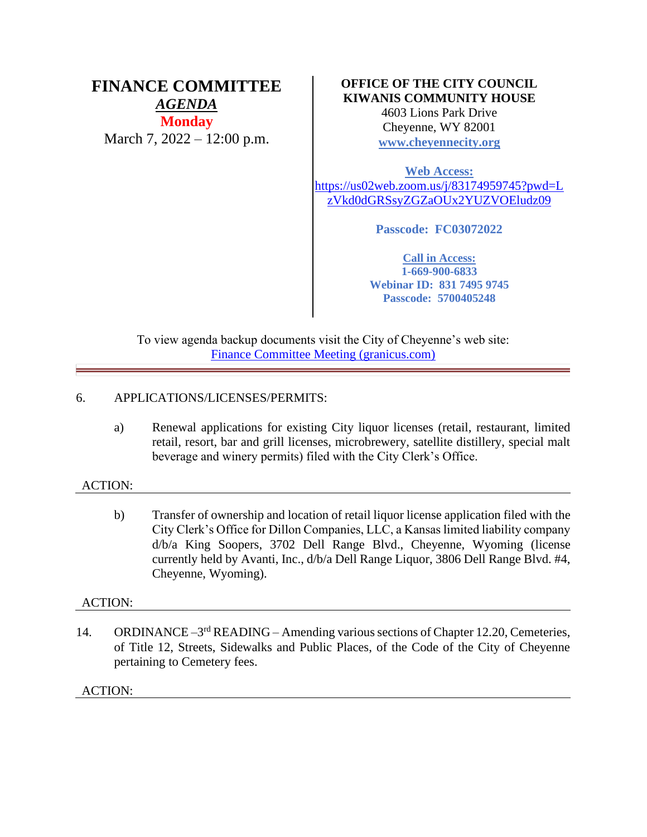# **FINANCE COMMITTEE** *AGENDA* **Monday**

March 7, 2022 – 12:00 p.m.

## **OFFICE OF THE CITY COUNCIL KIWANIS COMMUNITY HOUSE**

4603 Lions Park Drive Cheyenne, WY 82001 **[www.cheyennecity.org](http://www.cheyennecity.org/)**

**Web Access:** [https://us02web.zoom.us/j/83174959745?pwd=L](https://us02web.zoom.us/j/83174959745?pwd=LzVkd0dGRSsyZGZaOUx2YUZVOEludz09) [zVkd0dGRSsyZGZaOUx2YUZVOEludz09](https://us02web.zoom.us/j/83174959745?pwd=LzVkd0dGRSsyZGZaOUx2YUZVOEludz09)

**Passcode: FC03072022**

**Call in Access: 1-669-900-6833 Webinar ID: 831 7495 9745 Passcode: 5700405248**

To view agenda backup documents visit the City of Cheyenne's web site: [Finance Committee Meeting \(granicus.com\)](https://cheyenne.granicus.com/GeneratedAgendaViewer.php?event_id=1053)

## 6. APPLICATIONS/LICENSES/PERMITS:

a) Renewal applications for existing City liquor licenses (retail, restaurant, limited retail, resort, bar and grill licenses, microbrewery, satellite distillery, special malt beverage and winery permits) filed with the City Clerk's Office.

### ACTION:

b) Transfer of ownership and location of retail liquor license application filed with the City Clerk's Office for Dillon Companies, LLC, a Kansas limited liability company d/b/a King Soopers, 3702 Dell Range Blvd., Cheyenne, Wyoming (license currently held by Avanti, Inc., d/b/a Dell Range Liquor, 3806 Dell Range Blvd. #4, Cheyenne, Wyoming).

### ACTION:

14. ORDINANCE -3<sup>rd</sup> READING - Amending various sections of Chapter 12.20, Cemeteries, of Title 12, Streets, Sidewalks and Public Places, of the Code of the City of Cheyenne pertaining to Cemetery fees.

### ACTION: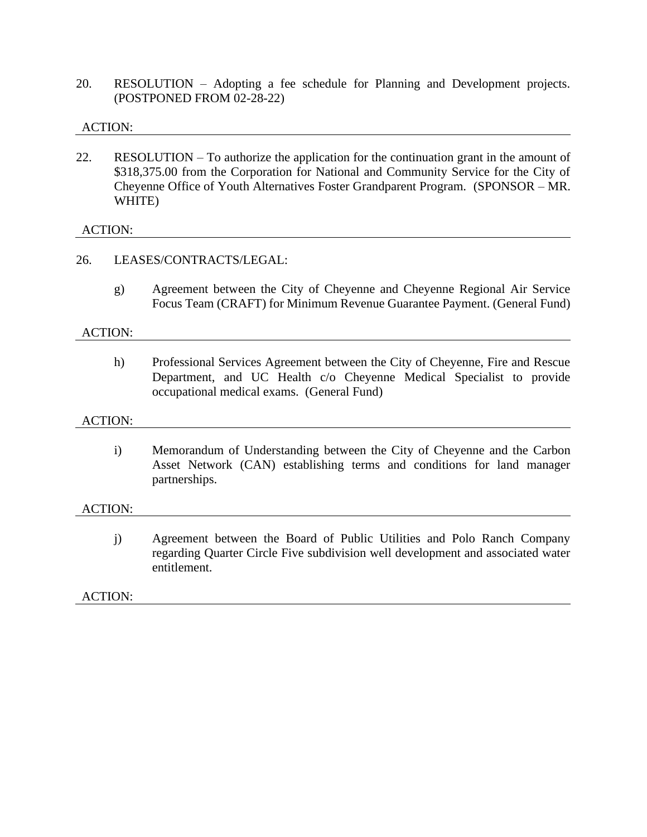20. RESOLUTION – Adopting a fee schedule for Planning and Development projects. (POSTPONED FROM 02-28-22)

### ACTION:

22. RESOLUTION – To authorize the application for the continuation grant in the amount of \$318,375.00 from the Corporation for National and Community Service for the City of Cheyenne Office of Youth Alternatives Foster Grandparent Program. (SPONSOR – MR. WHITE)

### ACTION:

### 26. LEASES/CONTRACTS/LEGAL:

g) Agreement between the City of Cheyenne and Cheyenne Regional Air Service Focus Team (CRAFT) for Minimum Revenue Guarantee Payment. (General Fund)

#### ACTION:

h) Professional Services Agreement between the City of Cheyenne, Fire and Rescue Department, and UC Health c/o Cheyenne Medical Specialist to provide occupational medical exams. (General Fund)

#### ACTION:

i) Memorandum of Understanding between the City of Cheyenne and the Carbon Asset Network (CAN) establishing terms and conditions for land manager partnerships.

#### ACTION:

j) Agreement between the Board of Public Utilities and Polo Ranch Company regarding Quarter Circle Five subdivision well development and associated water entitlement.

#### ACTION: